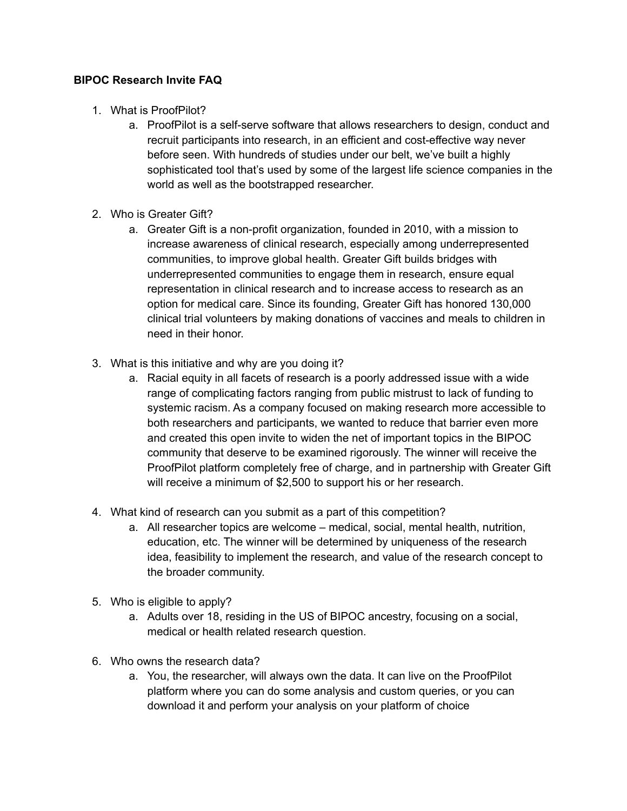## **BIPOC Research Invite FAQ**

- 1. What is ProofPilot?
	- a. ProofPilot is a self-serve software that allows researchers to design, conduct and recruit participants into research, in an efficient and cost-effective way never before seen. With hundreds of studies under our belt, we've built a highly sophisticated tool that's used by some of the largest life science companies in the world as well as the bootstrapped researcher.
- 2. Who is Greater Gift?
	- a. Greater Gift is a non-profit organization, founded in 2010, with a mission to increase awareness of clinical research, especially among underrepresented communities, to improve global health. Greater Gift builds bridges with underrepresented communities to engage them in research, ensure equal representation in clinical research and to increase access to research as an option for medical care. Since its founding, Greater Gift has honored 130,000 clinical trial volunteers by making donations of vaccines and meals to children in need in their honor.
- 3. What is this initiative and why are you doing it?
	- a. Racial equity in all facets of research is a poorly addressed issue with a wide range of complicating factors ranging from public mistrust to lack of funding to systemic racism. As a company focused on making research more accessible to both researchers and participants, we wanted to reduce that barrier even more and created this open invite to widen the net of important topics in the BIPOC community that deserve to be examined rigorously. The winner will receive the ProofPilot platform completely free of charge, and in partnership with Greater Gift will receive a minimum of \$2,500 to support his or her research.
- 4. What kind of research can you submit as a part of this competition?
	- a. All researcher topics are welcome medical, social, mental health, nutrition, education, etc. The winner will be determined by uniqueness of the research idea, feasibility to implement the research, and value of the research concept to the broader community.
- 5. Who is eligible to apply?
	- a. Adults over 18, residing in the US of BIPOC ancestry, focusing on a social, medical or health related research question.
- 6. Who owns the research data?
	- a. You, the researcher, will always own the data. It can live on the ProofPilot platform where you can do some analysis and custom queries, or you can download it and perform your analysis on your platform of choice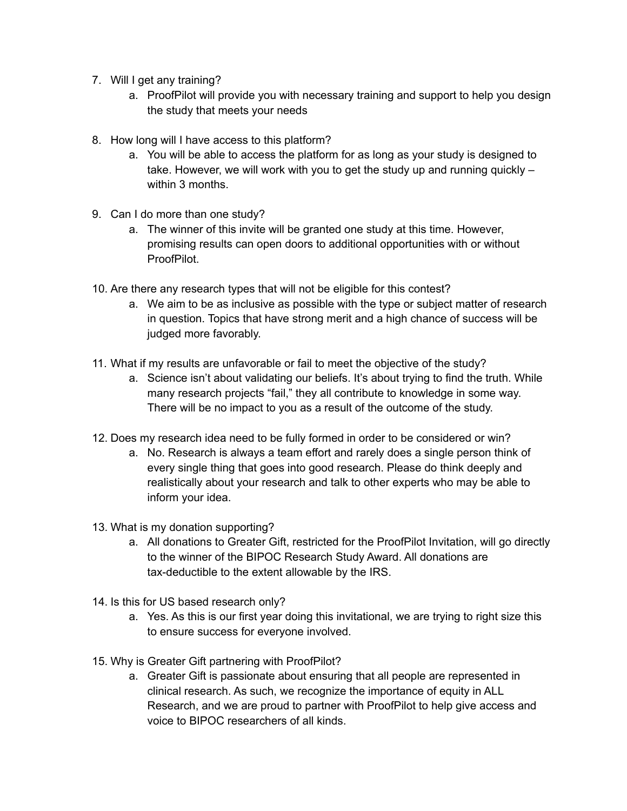- 7. Will I get any training?
	- a. ProofPilot will provide you with necessary training and support to help you design the study that meets your needs
- 8. How long will I have access to this platform?
	- a. You will be able to access the platform for as long as your study is designed to take. However, we will work with you to get the study up and running quickly – within 3 months.
- 9. Can I do more than one study?
	- a. The winner of this invite will be granted one study at this time. However, promising results can open doors to additional opportunities with or without ProofPilot.
- 10. Are there any research types that will not be eligible for this contest?
	- a. We aim to be as inclusive as possible with the type or subject matter of research in question. Topics that have strong merit and a high chance of success will be judged more favorably.
- 11. What if my results are unfavorable or fail to meet the objective of the study?
	- a. Science isn't about validating our beliefs. It's about trying to find the truth. While many research projects "fail," they all contribute to knowledge in some way. There will be no impact to you as a result of the outcome of the study.
- 12. Does my research idea need to be fully formed in order to be considered or win?
	- a. No. Research is always a team effort and rarely does a single person think of every single thing that goes into good research. Please do think deeply and realistically about your research and talk to other experts who may be able to inform your idea.
- 13. What is my donation supporting?
	- a. All donations to Greater Gift, restricted for the ProofPilot Invitation, will go directly to the winner of the BIPOC Research Study Award. All donations are tax-deductible to the extent allowable by the IRS.
- 14. Is this for US based research only?
	- a. Yes. As this is our first year doing this invitational, we are trying to right size this to ensure success for everyone involved.
- 15. Why is Greater Gift partnering with ProofPilot?
	- a. Greater Gift is passionate about ensuring that all people are represented in clinical research. As such, we recognize the importance of equity in ALL Research, and we are proud to partner with ProofPilot to help give access and voice to BIPOC researchers of all kinds.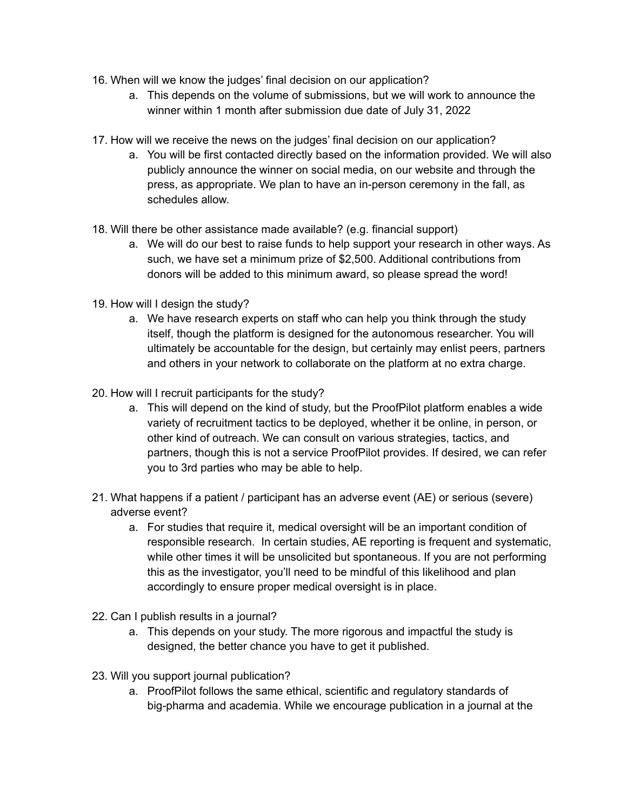- 16. When will we know the judges' final decision on our application?
	- a. This depends on the volume of submissions, but we will work to announce the winner within 1 month after submission due date of July 31, 2022
- 17. How will we receive the news on the judges' final decision on our application?
	- a. You will be first contacted directly based on the information provided. We will also publicly announce the winner on social media, on our website and through the press, as appropriate. We plan to have an in-person ceremony in the fall, as schedules allow.
- 18. Will there be other assistance made available? (e.g. financial support)
	- a. We will do our best to raise funds to help support your research in other ways. As such, we have set a minimum prize of \$2,500. Additional contributions from donors will be added to this minimum award, so please spread the word!
- 19. How will I design the study?
	- a. We have research experts on staff who can help you think through the study itself, though the platform is designed for the autonomous researcher. You will ultimately be accountable for the design, but certainly may enlist peers, partners and others in your network to collaborate on the platform at no extra charge.
- 20. How will I recruit participants for the study?
	- a. This will depend on the kind of study, but the ProofPilot platform enables a wide variety of recruitment tactics to be deployed, whether it be online, in person, or other kind of outreach. We can consult on various strategies, tactics, and partners, though this is not a service ProofPilot provides. If desired, we can refer you to 3rd parties who may be able to help.
- 21. What happens if a patient / participant has an adverse event (AE) or serious (severe) adverse event?
	- a. For studies that require it, medical oversight will be an important condition of responsible research. In certain studies, AE reporting is frequent and systematic, while other times it will be unsolicited but spontaneous. If you are not performing this as the investigator, you'll need to be mindful of this likelihood and plan accordingly to ensure proper medical oversight is in place.
- 22. Can I publish results in a journal?
	- a. This depends on your study. The more rigorous and impactful the study is designed, the better chance you have to get it published.
- 23. Will you support journal publication?
	- a. ProofPilot follows the same ethical, scientific and regulatory standards of big-pharma and academia. While we encourage publication in a journal at the